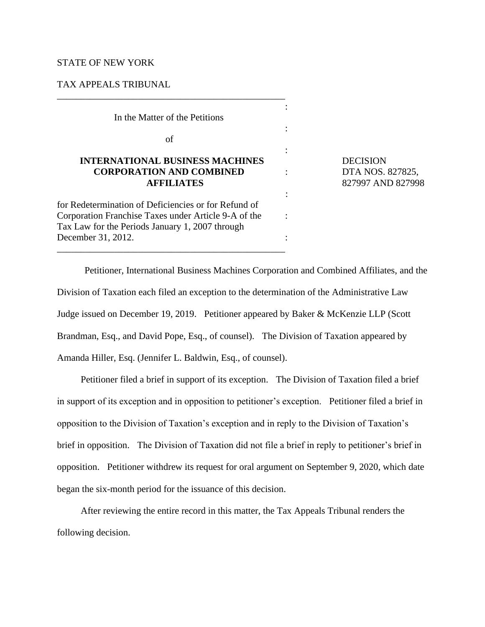### STATE OF NEW YORK

# TAX APPEALS TRIBUNAL

In the Matter of the Petitions

\_\_\_\_\_\_\_\_\_\_\_\_\_\_\_\_\_\_\_\_\_\_\_\_\_\_\_\_\_\_\_\_\_\_\_\_\_\_\_\_\_\_\_\_\_\_\_\_

of

## **INTERNATIONAL BUSINESS MACHINES** DECISION  **CORPORATION AND COMBINED** : DTA NOS. 827825, **AFFILIATES** 827997 AND 827998

the contract of the contract of the contract of the contract of the contract of the contract of the contract of

for Redetermination of Deficiencies or for Refund of Corporation Franchise Taxes under Article 9-A of the : Tax Law for the Periods January 1, 2007 through December 31, 2012. \_\_\_\_\_\_\_\_\_\_\_\_\_\_\_\_\_\_\_\_\_\_\_\_\_\_\_\_\_\_\_\_\_\_\_\_\_\_\_\_\_\_\_\_\_\_\_\_

Petitioner, International Business Machines Corporation and Combined Affiliates, and the Division of Taxation each filed an exception to the determination of the Administrative Law Judge issued on December 19, 2019. Petitioner appeared by Baker & McKenzie LLP (Scott Brandman, Esq., and David Pope, Esq., of counsel). The Division of Taxation appeared by Amanda Hiller, Esq. (Jennifer L. Baldwin, Esq., of counsel).

**Service Service Service Service** 

:

:

Petitioner filed a brief in support of its exception. The Division of Taxation filed a brief in support of its exception and in opposition to petitioner's exception. Petitioner filed a brief in opposition to the Division of Taxation's exception and in reply to the Division of Taxation's brief in opposition. The Division of Taxation did not file a brief in reply to petitioner's brief in opposition. Petitioner withdrew its request for oral argument on September 9, 2020, which date began the six-month period for the issuance of this decision.

After reviewing the entire record in this matter, the Tax Appeals Tribunal renders the following decision.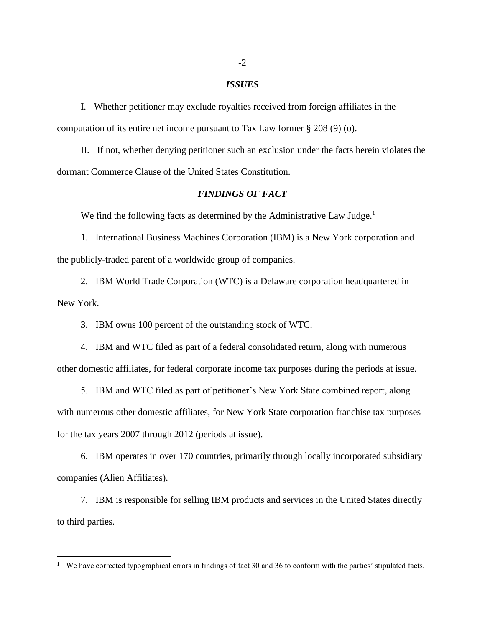### *ISSUES*

I. Whether petitioner may exclude royalties received from foreign affiliates in the computation of its entire net income pursuant to Tax Law former § 208 (9) (o).

II. If not, whether denying petitioner such an exclusion under the facts herein violates the dormant Commerce Clause of the United States Constitution.

#### *FINDINGS OF FACT*

We find the following facts as determined by the Administrative Law Judge.<sup>1</sup>

1. International Business Machines Corporation (IBM) is a New York corporation and the publicly-traded parent of a worldwide group of companies.

2. IBM World Trade Corporation (WTC) is a Delaware corporation headquartered in New York.

3. IBM owns 100 percent of the outstanding stock of WTC.

4. IBM and WTC filed as part of a federal consolidated return, along with numerous other domestic affiliates, for federal corporate income tax purposes during the periods at issue.

5. IBM and WTC filed as part of petitioner's New York State combined report, along with numerous other domestic affiliates, for New York State corporation franchise tax purposes for the tax years 2007 through 2012 (periods at issue).

6. IBM operates in over 170 countries, primarily through locally incorporated subsidiary companies (Alien Affiliates).

7. IBM is responsible for selling IBM products and services in the United States directly to third parties.

<sup>&</sup>lt;sup>1</sup> We have corrected typographical errors in findings of fact 30 and 36 to conform with the parties' stipulated facts.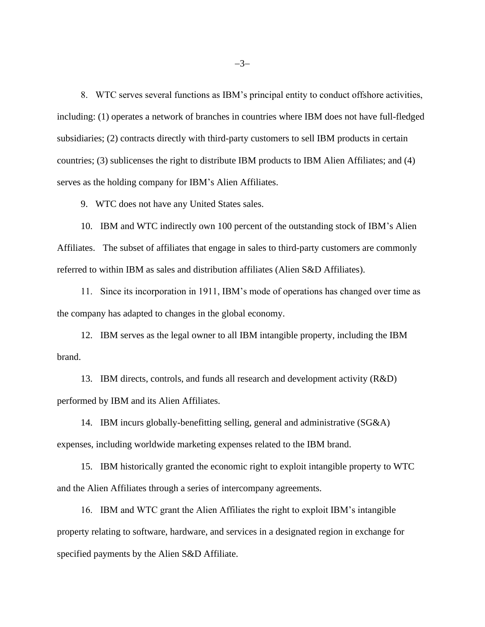8. WTC serves several functions as IBM's principal entity to conduct offshore activities, including: (1) operates a network of branches in countries where IBM does not have full-fledged subsidiaries; (2) contracts directly with third-party customers to sell IBM products in certain countries; (3) sublicenses the right to distribute IBM products to IBM Alien Affiliates; and (4) serves as the holding company for IBM's Alien Affiliates.

9. WTC does not have any United States sales.

10. IBM and WTC indirectly own 100 percent of the outstanding stock of IBM's Alien Affiliates. The subset of affiliates that engage in sales to third-party customers are commonly referred to within IBM as sales and distribution affiliates (Alien S&D Affiliates).

11. Since its incorporation in 1911, IBM's mode of operations has changed over time as the company has adapted to changes in the global economy.

12. IBM serves as the legal owner to all IBM intangible property, including the IBM brand.

13. IBM directs, controls, and funds all research and development activity (R&D) performed by IBM and its Alien Affiliates.

14. IBM incurs globally-benefitting selling, general and administrative (SG&A) expenses, including worldwide marketing expenses related to the IBM brand.

15. IBM historically granted the economic right to exploit intangible property to WTC and the Alien Affiliates through a series of intercompany agreements.

16. IBM and WTC grant the Alien Affiliates the right to exploit IBM's intangible property relating to software, hardware, and services in a designated region in exchange for specified payments by the Alien S&D Affiliate.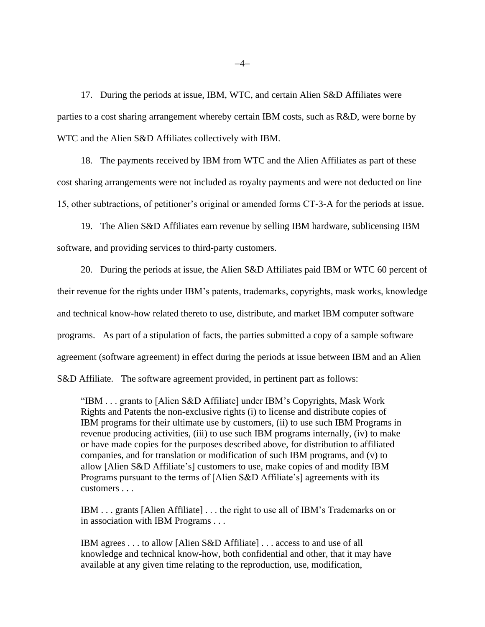17. During the periods at issue, IBM, WTC, and certain Alien S&D Affiliates were parties to a cost sharing arrangement whereby certain IBM costs, such as R&D, were borne by WTC and the Alien S&D Affiliates collectively with IBM.

18. The payments received by IBM from WTC and the Alien Affiliates as part of these cost sharing arrangements were not included as royalty payments and were not deducted on line 15, other subtractions, of petitioner's original or amended forms CT-3-A for the periods at issue.

19. The Alien S&D Affiliates earn revenue by selling IBM hardware, sublicensing IBM software, and providing services to third-party customers.

20. During the periods at issue, the Alien S&D Affiliates paid IBM or WTC 60 percent of their revenue for the rights under IBM's patents, trademarks, copyrights, mask works, knowledge and technical know-how related thereto to use, distribute, and market IBM computer software programs. As part of a stipulation of facts, the parties submitted a copy of a sample software agreement (software agreement) in effect during the periods at issue between IBM and an Alien S&D Affiliate. The software agreement provided, in pertinent part as follows:

"IBM . . . grants to [Alien S&D Affiliate] under IBM's Copyrights, Mask Work Rights and Patents the non-exclusive rights (i) to license and distribute copies of IBM programs for their ultimate use by customers, (ii) to use such IBM Programs in revenue producing activities, (iii) to use such IBM programs internally, (iv) to make or have made copies for the purposes described above, for distribution to affiliated companies, and for translation or modification of such IBM programs, and (v) to allow [Alien S&D Affiliate's] customers to use, make copies of and modify IBM Programs pursuant to the terms of [Alien S&D Affiliate's] agreements with its customers . . .

IBM . . . grants [Alien Affiliate] . . . the right to use all of IBM's Trademarks on or in association with IBM Programs . . .

IBM agrees . . . to allow [Alien S&D Affiliate] . . . access to and use of all knowledge and technical know-how, both confidential and other, that it may have available at any given time relating to the reproduction, use, modification,

−4−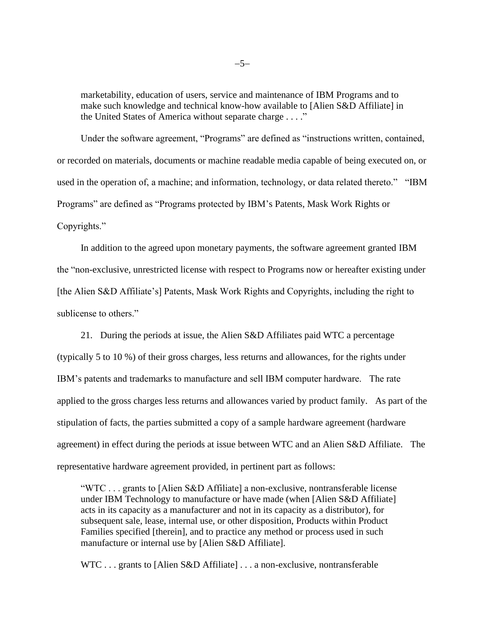marketability, education of users, service and maintenance of IBM Programs and to make such knowledge and technical know-how available to [Alien S&D Affiliate] in the United States of America without separate charge . . . ."

Under the software agreement, "Programs" are defined as "instructions written, contained, or recorded on materials, documents or machine readable media capable of being executed on, or used in the operation of, a machine; and information, technology, or data related thereto." "IBM Programs" are defined as "Programs protected by IBM's Patents, Mask Work Rights or Copyrights."

In addition to the agreed upon monetary payments, the software agreement granted IBM the "non-exclusive, unrestricted license with respect to Programs now or hereafter existing under [the Alien S&D Affiliate's] Patents, Mask Work Rights and Copyrights, including the right to sublicense to others."

21. During the periods at issue, the Alien S&D Affiliates paid WTC a percentage (typically 5 to 10 %) of their gross charges, less returns and allowances, for the rights under IBM's patents and trademarks to manufacture and sell IBM computer hardware. The rate applied to the gross charges less returns and allowances varied by product family. As part of the stipulation of facts, the parties submitted a copy of a sample hardware agreement (hardware agreement) in effect during the periods at issue between WTC and an Alien S&D Affiliate. The representative hardware agreement provided, in pertinent part as follows:

"WTC . . . grants to [Alien S&D Affiliate] a non-exclusive, nontransferable license under IBM Technology to manufacture or have made (when [Alien S&D Affiliate] acts in its capacity as a manufacturer and not in its capacity as a distributor), for subsequent sale, lease, internal use, or other disposition, Products within Product Families specified [therein], and to practice any method or process used in such manufacture or internal use by [Alien S&D Affiliate].

WTC . . . grants to [Alien S&D Affiliate] . . . a non-exclusive, nontransferable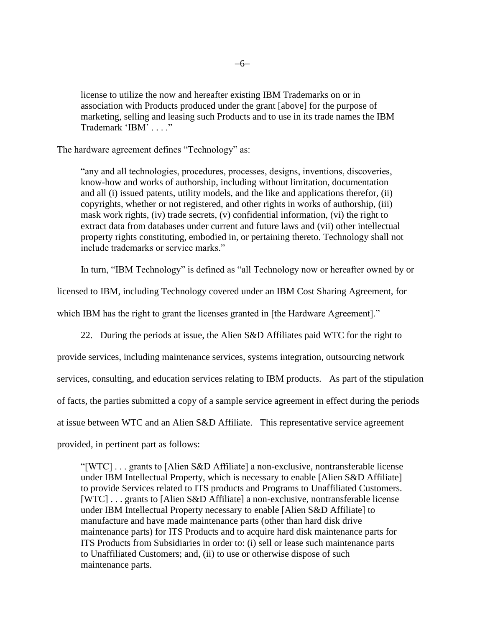license to utilize the now and hereafter existing IBM Trademarks on or in association with Products produced under the grant [above] for the purpose of marketing, selling and leasing such Products and to use in its trade names the IBM Trademark 'IBM' . . . ."

The hardware agreement defines "Technology" as:

"any and all technologies, procedures, processes, designs, inventions, discoveries, know-how and works of authorship, including without limitation, documentation and all (i) issued patents, utility models, and the like and applications therefor, (ii) copyrights, whether or not registered, and other rights in works of authorship, (iii) mask work rights, (iv) trade secrets, (v) confidential information, (vi) the right to extract data from databases under current and future laws and (vii) other intellectual property rights constituting, embodied in, or pertaining thereto. Technology shall not include trademarks or service marks."

In turn, "IBM Technology" is defined as "all Technology now or hereafter owned by or

licensed to IBM, including Technology covered under an IBM Cost Sharing Agreement, for

which IBM has the right to grant the licenses granted in [the Hardware Agreement]."

22. During the periods at issue, the Alien S&D Affiliates paid WTC for the right to provide services, including maintenance services, systems integration, outsourcing network services, consulting, and education services relating to IBM products. As part of the stipulation of facts, the parties submitted a copy of a sample service agreement in effect during the periods at issue between WTC and an Alien S&D Affiliate. This representative service agreement provided, in pertinent part as follows:

"[WTC] . . . grants to [Alien S&D Affiliate] a non-exclusive, nontransferable license under IBM Intellectual Property, which is necessary to enable [Alien S&D Affiliate] to provide Services related to ITS products and Programs to Unaffiliated Customers. [WTC] . . . grants to [Alien S&D Affiliate] a non-exclusive, nontransferable license under IBM Intellectual Property necessary to enable [Alien S&D Affiliate] to manufacture and have made maintenance parts (other than hard disk drive maintenance parts) for ITS Products and to acquire hard disk maintenance parts for ITS Products from Subsidiaries in order to: (i) sell or lease such maintenance parts to Unaffiliated Customers; and, (ii) to use or otherwise dispose of such maintenance parts.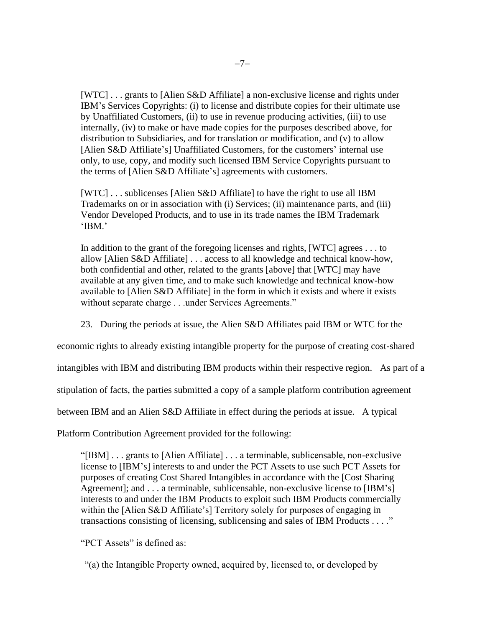[WTC] . . . grants to [Alien S&D Affiliate] a non-exclusive license and rights under IBM's Services Copyrights: (i) to license and distribute copies for their ultimate use by Unaffiliated Customers, (ii) to use in revenue producing activities, (iii) to use internally, (iv) to make or have made copies for the purposes described above, for distribution to Subsidiaries, and for translation or modification, and (v) to allow [Alien S&D Affiliate's] Unaffiliated Customers, for the customers' internal use only, to use, copy, and modify such licensed IBM Service Copyrights pursuant to the terms of [Alien S&D Affiliate's] agreements with customers.

[WTC] . . . sublicenses [Alien S&D Affiliate] to have the right to use all IBM Trademarks on or in association with (i) Services; (ii) maintenance parts, and (iii) Vendor Developed Products, and to use in its trade names the IBM Trademark 'IBM.'

In addition to the grant of the foregoing licenses and rights, [WTC] agrees . . . to allow [Alien S&D Affiliate] . . . access to all knowledge and technical know-how, both confidential and other, related to the grants [above] that [WTC] may have available at any given time, and to make such knowledge and technical know-how available to [Alien S&D Affiliate] in the form in which it exists and where it exists without separate charge . . .under Services Agreements."

23. During the periods at issue, the Alien S&D Affiliates paid IBM or WTC for the

economic rights to already existing intangible property for the purpose of creating cost-shared

intangibles with IBM and distributing IBM products within their respective region. As part of a

stipulation of facts, the parties submitted a copy of a sample platform contribution agreement

between IBM and an Alien S&D Affiliate in effect during the periods at issue. A typical

Platform Contribution Agreement provided for the following:

"[IBM] . . . grants to [Alien Affiliate] . . . a terminable, sublicensable, non-exclusive license to [IBM's] interests to and under the PCT Assets to use such PCT Assets for purposes of creating Cost Shared Intangibles in accordance with the [Cost Sharing Agreement]; and . . . a terminable, sublicensable, non-exclusive license to [IBM's] interests to and under the IBM Products to exploit such IBM Products commercially within the [Alien S&D Affiliate's] Territory solely for purposes of engaging in transactions consisting of licensing, sublicensing and sales of IBM Products . . . ."

"PCT Assets" is defined as:

"(a) the Intangible Property owned, acquired by, licensed to, or developed by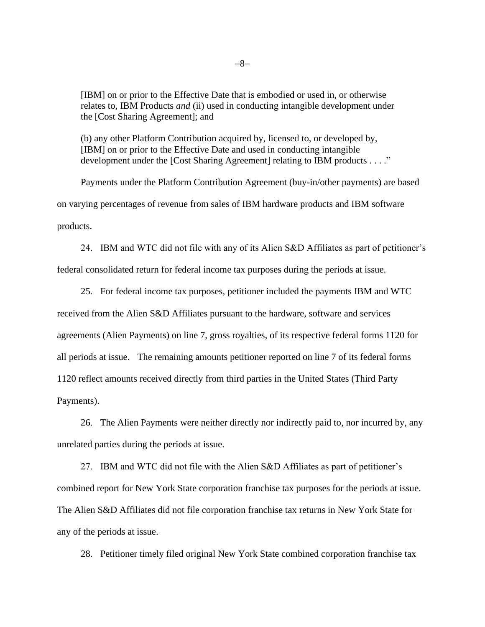[IBM] on or prior to the Effective Date that is embodied or used in, or otherwise relates to, IBM Products *and* (ii) used in conducting intangible development under the [Cost Sharing Agreement]; and

(b) any other Platform Contribution acquired by, licensed to, or developed by, [IBM] on or prior to the Effective Date and used in conducting intangible development under the [Cost Sharing Agreement] relating to IBM products . . . ."

Payments under the Platform Contribution Agreement (buy-in/other payments) are based on varying percentages of revenue from sales of IBM hardware products and IBM software products.

24. IBM and WTC did not file with any of its Alien S&D Affiliates as part of petitioner's federal consolidated return for federal income tax purposes during the periods at issue.

25. For federal income tax purposes, petitioner included the payments IBM and WTC received from the Alien S&D Affiliates pursuant to the hardware, software and services agreements (Alien Payments) on line 7, gross royalties, of its respective federal forms 1120 for all periods at issue. The remaining amounts petitioner reported on line 7 of its federal forms 1120 reflect amounts received directly from third parties in the United States (Third Party Payments).

26. The Alien Payments were neither directly nor indirectly paid to, nor incurred by, any unrelated parties during the periods at issue.

27. IBM and WTC did not file with the Alien S&D Affiliates as part of petitioner's combined report for New York State corporation franchise tax purposes for the periods at issue. The Alien S&D Affiliates did not file corporation franchise tax returns in New York State for any of the periods at issue.

28. Petitioner timely filed original New York State combined corporation franchise tax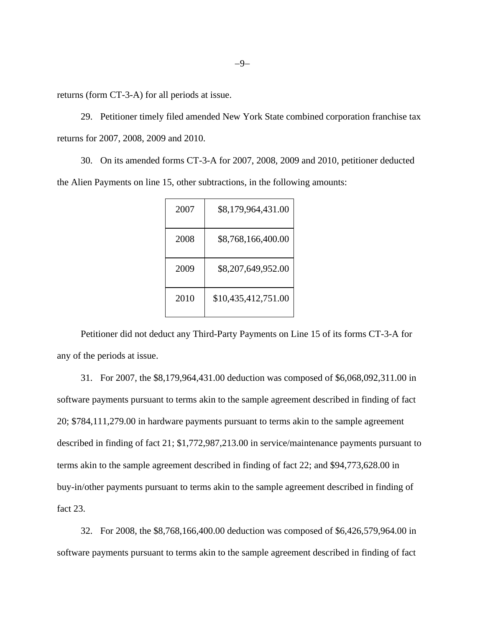returns (form CT-3-A) for all periods at issue.

29. Petitioner timely filed amended New York State combined corporation franchise tax returns for 2007, 2008, 2009 and 2010.

30. On its amended forms CT-3-A for 2007, 2008, 2009 and 2010, petitioner deducted the Alien Payments on line 15, other subtractions, in the following amounts:

| 2007 | \$8,179,964,431.00  |
|------|---------------------|
| 2008 | \$8,768,166,400.00  |
| 2009 | \$8,207,649,952.00  |
| 2010 | \$10,435,412,751.00 |

Petitioner did not deduct any Third-Party Payments on Line 15 of its forms CT-3-A for any of the periods at issue.

31. For 2007, the \$8,179,964,431.00 deduction was composed of \$6,068,092,311.00 in software payments pursuant to terms akin to the sample agreement described in finding of fact 20; \$784,111,279.00 in hardware payments pursuant to terms akin to the sample agreement described in finding of fact 21; \$1,772,987,213.00 in service/maintenance payments pursuant to terms akin to the sample agreement described in finding of fact 22; and \$94,773,628.00 in buy-in/other payments pursuant to terms akin to the sample agreement described in finding of fact 23.

32. For 2008, the \$8,768,166,400.00 deduction was composed of \$6,426,579,964.00 in software payments pursuant to terms akin to the sample agreement described in finding of fact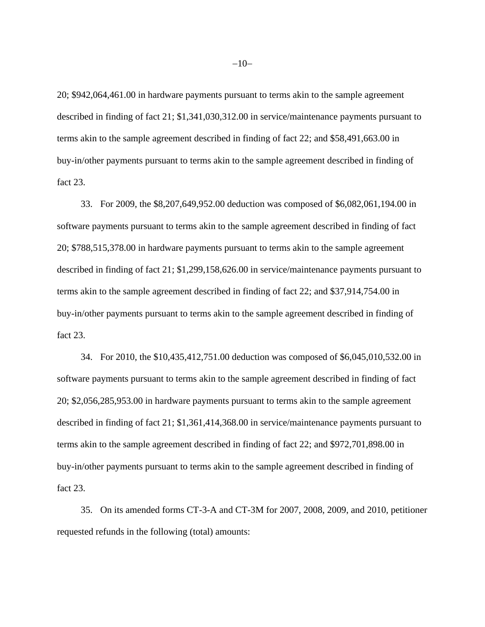20; \$942,064,461.00 in hardware payments pursuant to terms akin to the sample agreement described in finding of fact 21; \$1,341,030,312.00 in service/maintenance payments pursuant to terms akin to the sample agreement described in finding of fact 22; and \$58,491,663.00 in buy-in/other payments pursuant to terms akin to the sample agreement described in finding of fact 23.

33. For 2009, the \$8,207,649,952.00 deduction was composed of \$6,082,061,194.00 in software payments pursuant to terms akin to the sample agreement described in finding of fact 20; \$788,515,378.00 in hardware payments pursuant to terms akin to the sample agreement described in finding of fact 21; \$1,299,158,626.00 in service/maintenance payments pursuant to terms akin to the sample agreement described in finding of fact 22; and \$37,914,754.00 in buy-in/other payments pursuant to terms akin to the sample agreement described in finding of fact 23.

34. For 2010, the \$10,435,412,751.00 deduction was composed of \$6,045,010,532.00 in software payments pursuant to terms akin to the sample agreement described in finding of fact 20; \$2,056,285,953.00 in hardware payments pursuant to terms akin to the sample agreement described in finding of fact 21; \$1,361,414,368.00 in service/maintenance payments pursuant to terms akin to the sample agreement described in finding of fact 22; and \$972,701,898.00 in buy-in/other payments pursuant to terms akin to the sample agreement described in finding of fact 23.

35. On its amended forms CT-3-A and CT-3M for 2007, 2008, 2009, and 2010, petitioner requested refunds in the following (total) amounts: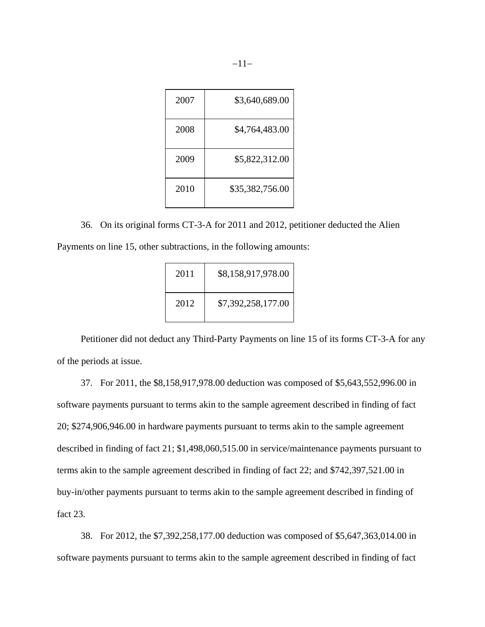| 2007 | \$3,640,689.00  |
|------|-----------------|
| 2008 | \$4,764,483.00  |
| 2009 | \$5,822,312.00  |
| 2010 | \$35,382,756.00 |

36. On its original forms CT-3-A for 2011 and 2012, petitioner deducted the Alien Payments on line 15, other subtractions, in the following amounts:

| 2011 | \$8,158,917,978.00 |
|------|--------------------|
| 2012 | \$7,392,258,177.00 |

Petitioner did not deduct any Third-Party Payments on line 15 of its forms CT-3-A for any of the periods at issue.

37. For 2011, the \$8,158,917,978.00 deduction was composed of \$5,643,552,996.00 in software payments pursuant to terms akin to the sample agreement described in finding of fact 20; \$274,906,946.00 in hardware payments pursuant to terms akin to the sample agreement described in finding of fact 21; \$1,498,060,515.00 in service/maintenance payments pursuant to terms akin to the sample agreement described in finding of fact 22; and \$742,397,521.00 in buy-in/other payments pursuant to terms akin to the sample agreement described in finding of fact 23.

38. For 2012, the \$7,392,258,177.00 deduction was composed of \$5,647,363,014.00 in software payments pursuant to terms akin to the sample agreement described in finding of fact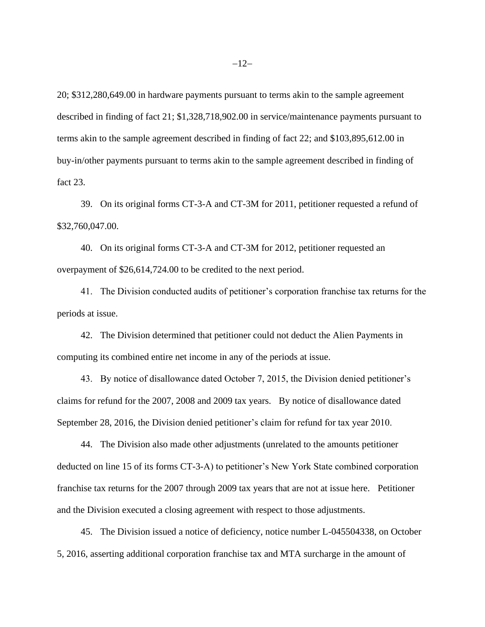20; \$312,280,649.00 in hardware payments pursuant to terms akin to the sample agreement described in finding of fact 21; \$1,328,718,902.00 in service/maintenance payments pursuant to terms akin to the sample agreement described in finding of fact 22; and \$103,895,612.00 in buy-in/other payments pursuant to terms akin to the sample agreement described in finding of fact 23.

39. On its original forms CT-3-A and CT-3M for 2011, petitioner requested a refund of \$32,760,047.00.

40. On its original forms CT-3-A and CT-3M for 2012, petitioner requested an overpayment of \$26,614,724.00 to be credited to the next period.

41. The Division conducted audits of petitioner's corporation franchise tax returns for the periods at issue.

42. The Division determined that petitioner could not deduct the Alien Payments in computing its combined entire net income in any of the periods at issue.

43. By notice of disallowance dated October 7, 2015, the Division denied petitioner's claims for refund for the 2007, 2008 and 2009 tax years. By notice of disallowance dated September 28, 2016, the Division denied petitioner's claim for refund for tax year 2010.

44. The Division also made other adjustments (unrelated to the amounts petitioner deducted on line 15 of its forms CT-3-A) to petitioner's New York State combined corporation franchise tax returns for the 2007 through 2009 tax years that are not at issue here. Petitioner and the Division executed a closing agreement with respect to those adjustments.

45. The Division issued a notice of deficiency, notice number L-045504338, on October 5, 2016, asserting additional corporation franchise tax and MTA surcharge in the amount of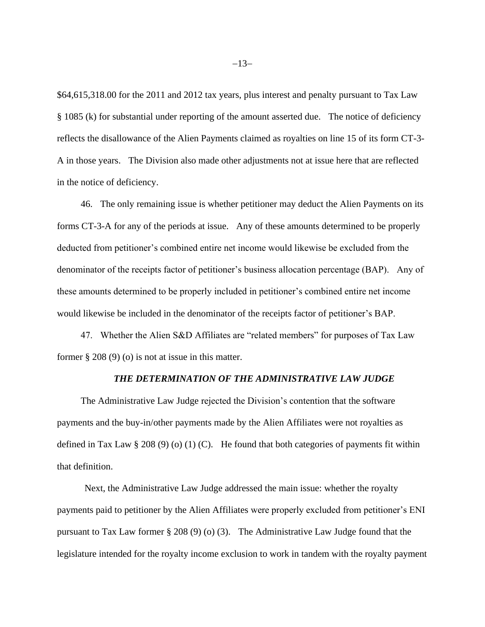\$64,615,318.00 for the 2011 and 2012 tax years, plus interest and penalty pursuant to Tax Law § 1085 (k) for substantial under reporting of the amount asserted due. The notice of deficiency reflects the disallowance of the Alien Payments claimed as royalties on line 15 of its form CT-3- A in those years. The Division also made other adjustments not at issue here that are reflected in the notice of deficiency.

46. The only remaining issue is whether petitioner may deduct the Alien Payments on its forms CT-3-A for any of the periods at issue. Any of these amounts determined to be properly deducted from petitioner's combined entire net income would likewise be excluded from the denominator of the receipts factor of petitioner's business allocation percentage (BAP). Any of these amounts determined to be properly included in petitioner's combined entire net income would likewise be included in the denominator of the receipts factor of petitioner's BAP.

47. Whether the Alien S&D Affiliates are "related members" for purposes of Tax Law former  $\S 208 (9)$  (o) is not at issue in this matter.

#### *THE DETERMINATION OF THE ADMINISTRATIVE LAW JUDGE*

The Administrative Law Judge rejected the Division's contention that the software payments and the buy-in/other payments made by the Alien Affiliates were not royalties as defined in Tax Law § 208 (9) (0) (1) (C). He found that both categories of payments fit within that definition.

Next, the Administrative Law Judge addressed the main issue: whether the royalty payments paid to petitioner by the Alien Affiliates were properly excluded from petitioner's ENI pursuant to Tax Law former § 208 (9) (o) (3). The Administrative Law Judge found that the legislature intended for the royalty income exclusion to work in tandem with the royalty payment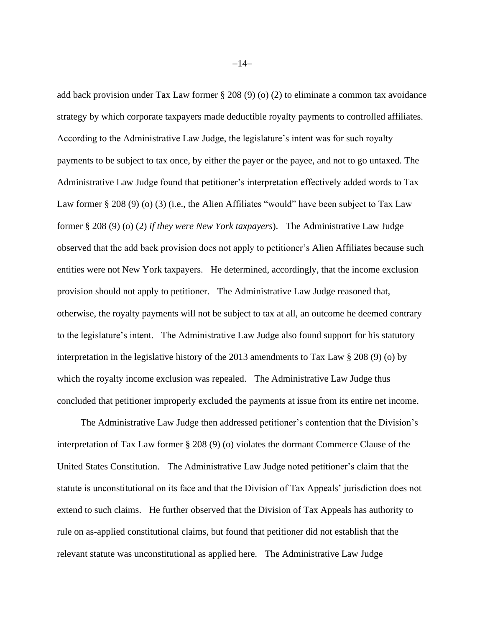add back provision under Tax Law former § 208 (9) (o) (2) to eliminate a common tax avoidance strategy by which corporate taxpayers made deductible royalty payments to controlled affiliates. According to the Administrative Law Judge, the legislature's intent was for such royalty payments to be subject to tax once, by either the payer or the payee, and not to go untaxed. The Administrative Law Judge found that petitioner's interpretation effectively added words to Tax Law former § 208 (9) (o) (3) (i.e., the Alien Affiliates "would" have been subject to Tax Law former § 208 (9) (o) (2) *if they were New York taxpayers*). The Administrative Law Judge observed that the add back provision does not apply to petitioner's Alien Affiliates because such entities were not New York taxpayers. He determined, accordingly, that the income exclusion provision should not apply to petitioner. The Administrative Law Judge reasoned that, otherwise, the royalty payments will not be subject to tax at all, an outcome he deemed contrary to the legislature's intent. The Administrative Law Judge also found support for his statutory interpretation in the legislative history of the 2013 amendments to Tax Law § 208 (9) (o) by which the royalty income exclusion was repealed. The Administrative Law Judge thus concluded that petitioner improperly excluded the payments at issue from its entire net income.

The Administrative Law Judge then addressed petitioner's contention that the Division's interpretation of Tax Law former § 208 (9) (o) violates the dormant Commerce Clause of the United States Constitution. The Administrative Law Judge noted petitioner's claim that the statute is unconstitutional on its face and that the Division of Tax Appeals' jurisdiction does not extend to such claims. He further observed that the Division of Tax Appeals has authority to rule on as-applied constitutional claims, but found that petitioner did not establish that the relevant statute was unconstitutional as applied here. The Administrative Law Judge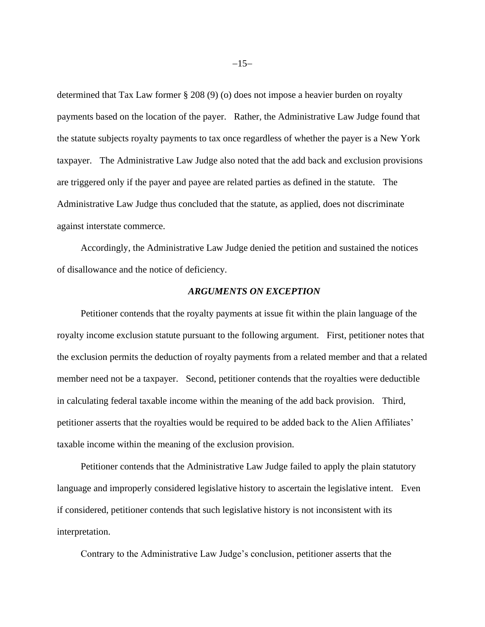determined that Tax Law former § 208 (9) (o) does not impose a heavier burden on royalty payments based on the location of the payer. Rather, the Administrative Law Judge found that the statute subjects royalty payments to tax once regardless of whether the payer is a New York taxpayer. The Administrative Law Judge also noted that the add back and exclusion provisions are triggered only if the payer and payee are related parties as defined in the statute. The Administrative Law Judge thus concluded that the statute, as applied, does not discriminate against interstate commerce.

Accordingly, the Administrative Law Judge denied the petition and sustained the notices of disallowance and the notice of deficiency.

# *ARGUMENTS ON EXCEPTION*

Petitioner contends that the royalty payments at issue fit within the plain language of the royalty income exclusion statute pursuant to the following argument. First, petitioner notes that the exclusion permits the deduction of royalty payments from a related member and that a related member need not be a taxpayer. Second, petitioner contends that the royalties were deductible in calculating federal taxable income within the meaning of the add back provision. Third, petitioner asserts that the royalties would be required to be added back to the Alien Affiliates' taxable income within the meaning of the exclusion provision.

Petitioner contends that the Administrative Law Judge failed to apply the plain statutory language and improperly considered legislative history to ascertain the legislative intent. Even if considered, petitioner contends that such legislative history is not inconsistent with its interpretation.

Contrary to the Administrative Law Judge's conclusion, petitioner asserts that the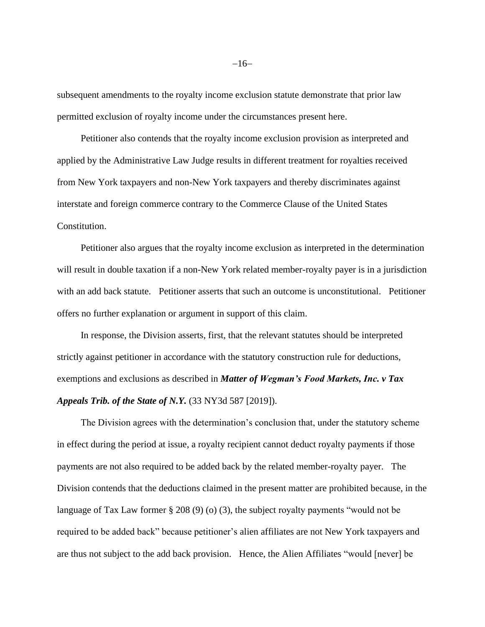subsequent amendments to the royalty income exclusion statute demonstrate that prior law permitted exclusion of royalty income under the circumstances present here.

Petitioner also contends that the royalty income exclusion provision as interpreted and applied by the Administrative Law Judge results in different treatment for royalties received from New York taxpayers and non-New York taxpayers and thereby discriminates against interstate and foreign commerce contrary to the Commerce Clause of the United States Constitution.

Petitioner also argues that the royalty income exclusion as interpreted in the determination will result in double taxation if a non-New York related member-royalty payer is in a jurisdiction with an add back statute. Petitioner asserts that such an outcome is unconstitutional. Petitioner offers no further explanation or argument in support of this claim.

In response, the Division asserts, first, that the relevant statutes should be interpreted strictly against petitioner in accordance with the statutory construction rule for deductions, exemptions and exclusions as described in *Matter of Wegman's Food Markets, Inc. v Tax Appeals Trib. of the State of N.Y.* (33 NY3d 587 [2019]).

The Division agrees with the determination's conclusion that, under the statutory scheme in effect during the period at issue, a royalty recipient cannot deduct royalty payments if those payments are not also required to be added back by the related member-royalty payer. The Division contends that the deductions claimed in the present matter are prohibited because, in the language of Tax Law former § 208 (9) (o) (3), the subject royalty payments "would not be required to be added back" because petitioner's alien affiliates are not New York taxpayers and are thus not subject to the add back provision. Hence, the Alien Affiliates "would [never] be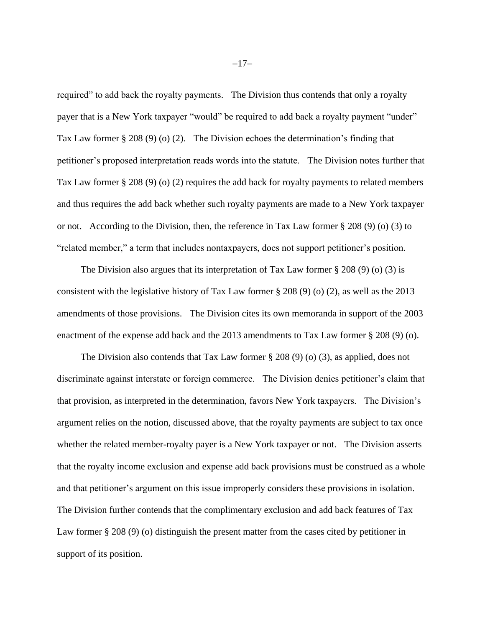required" to add back the royalty payments. The Division thus contends that only a royalty payer that is a New York taxpayer "would" be required to add back a royalty payment "under" Tax Law former § 208 (9) (o) (2). The Division echoes the determination's finding that petitioner's proposed interpretation reads words into the statute. The Division notes further that Tax Law former § 208 (9) (o) (2) requires the add back for royalty payments to related members and thus requires the add back whether such royalty payments are made to a New York taxpayer or not. According to the Division, then, the reference in Tax Law former § 208 (9) (o) (3) to "related member," a term that includes nontaxpayers, does not support petitioner's position.

The Division also argues that its interpretation of Tax Law former  $\S 208 (9)$  (o) (3) is consistent with the legislative history of Tax Law former § 208 (9) (o) (2), as well as the 2013 amendments of those provisions. The Division cites its own memoranda in support of the 2003 enactment of the expense add back and the 2013 amendments to Tax Law former § 208 (9) (o).

The Division also contends that Tax Law former  $\S 208 (9) (0) (3)$ , as applied, does not discriminate against interstate or foreign commerce. The Division denies petitioner's claim that that provision, as interpreted in the determination, favors New York taxpayers. The Division's argument relies on the notion, discussed above, that the royalty payments are subject to tax once whether the related member-royalty payer is a New York taxpayer or not. The Division asserts that the royalty income exclusion and expense add back provisions must be construed as a whole and that petitioner's argument on this issue improperly considers these provisions in isolation. The Division further contends that the complimentary exclusion and add back features of Tax Law former § 208 (9) (o) distinguish the present matter from the cases cited by petitioner in support of its position.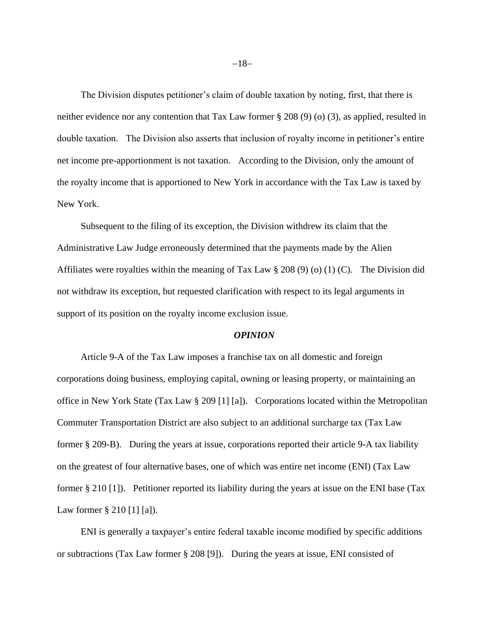The Division disputes petitioner's claim of double taxation by noting, first, that there is neither evidence nor any contention that Tax Law former § 208 (9) (o) (3), as applied, resulted in double taxation. The Division also asserts that inclusion of royalty income in petitioner's entire net income pre-apportionment is not taxation. According to the Division, only the amount of the royalty income that is apportioned to New York in accordance with the Tax Law is taxed by New York.

Subsequent to the filing of its exception, the Division withdrew its claim that the Administrative Law Judge erroneously determined that the payments made by the Alien Affiliates were royalties within the meaning of Tax Law § 208 (9) (o) (1) (C). The Division did not withdraw its exception, but requested clarification with respect to its legal arguments in support of its position on the royalty income exclusion issue.

#### *OPINION*

Article 9-A of the Tax Law imposes a franchise tax on all domestic and foreign corporations doing business, employing capital, owning or leasing property, or maintaining an office in New York State (Tax Law § 209 [1] [a]). Corporations located within the Metropolitan Commuter Transportation District are also subject to an additional surcharge tax (Tax Law former § 209-B). During the years at issue, corporations reported their article 9-A tax liability on the greatest of four alternative bases, one of which was entire net income (ENI) (Tax Law former § 210 [1]). Petitioner reported its liability during the years at issue on the ENI base (Tax Law former § 210 [1] [a]).

ENI is generally a taxpayer's entire federal taxable income modified by specific additions or subtractions (Tax Law former § 208 [9]). During the years at issue, ENI consisted of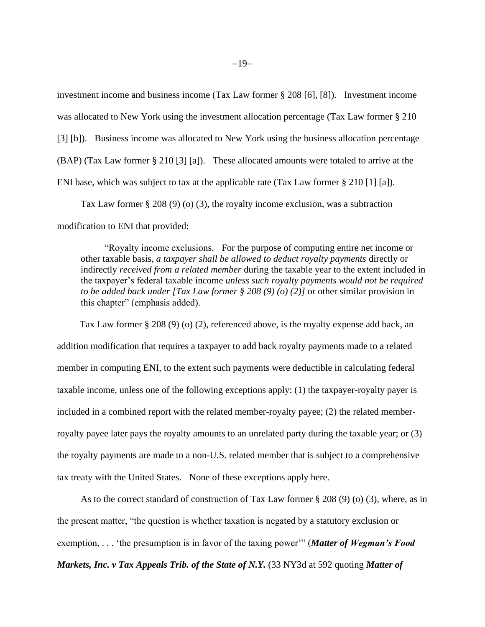investment income and business income (Tax Law former § 208 [6], [8]). Investment income was allocated to New York using the investment allocation percentage (Tax Law former § 210 [3] [b]). Business income was allocated to New York using the business allocation percentage (BAP) (Tax Law former § 210 [3] [a]). These allocated amounts were totaled to arrive at the ENI base, which was subject to tax at the applicable rate (Tax Law former § 210 [1] [a]).

Tax Law former § 208 (9) (o) (3), the royalty income exclusion, was a subtraction modification to ENI that provided:

"Royalty income exclusions. For the purpose of computing entire net income or other taxable basis, *a taxpayer shall be allowed to deduct royalty payments* directly or indirectly *received from a related member* during the taxable year to the extent included in the taxpayer's federal taxable income *unless such royalty payments would not be required to be added back under [Tax Law former § 208 (9) (o) (2)]* or other similar provision in this chapter" (emphasis added).

 Tax Law former § 208 (9) (o) (2), referenced above, is the royalty expense add back, an addition modification that requires a taxpayer to add back royalty payments made to a related member in computing ENI, to the extent such payments were deductible in calculating federal taxable income, unless one of the following exceptions apply: (1) the taxpayer-royalty payer is included in a combined report with the related member-royalty payee; (2) the related memberroyalty payee later pays the royalty amounts to an unrelated party during the taxable year; or (3) the royalty payments are made to a non-U.S. related member that is subject to a comprehensive tax treaty with the United States. None of these exceptions apply here.

As to the correct standard of construction of Tax Law former § 208 (9) (o) (3), where, as in the present matter, "the question is whether taxation is negated by a statutory exclusion or exemption, . . . 'the presumption is in favor of the taxing power'" (*Matter of Wegman's Food Markets, Inc. v Tax Appeals Trib. of the State of N.Y.* (33 NY3d at 592 quoting *Matter of*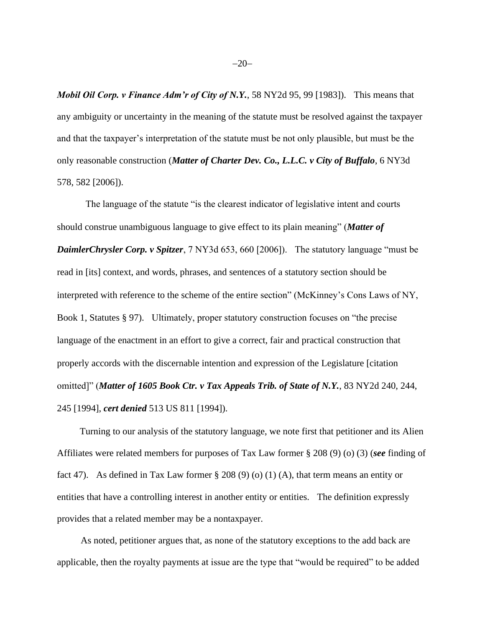*Mobil Oil Corp. v Finance Adm'r of City of N.Y.*, 58 NY2d 95, 99 [1983]). This means that any ambiguity or uncertainty in the meaning of the statute must be resolved against the taxpayer and that the taxpayer's interpretation of the statute must be not only plausible, but must be the only reasonable construction (*Matter of Charter Dev. Co., L.L.C. v City of Buffalo*, 6 NY3d 578, 582 [2006]).

The language of the statute "is the clearest indicator of legislative intent and courts should construe unambiguous language to give effect to its plain meaning" (*Matter of DaimlerChrysler Corp. v Spitzer*, 7 NY3d 653, 660 [2006]). The statutory language "must be read in [its] context, and words, phrases, and sentences of a statutory section should be interpreted with reference to the scheme of the entire section" (McKinney's Cons Laws of NY, Book 1, Statutes § 97). Ultimately, proper statutory construction focuses on "the precise language of the enactment in an effort to give a correct, fair and practical construction that properly accords with the discernable intention and expression of the Legislature [citation omitted]" (*Matter of 1605 Book Ctr. v Tax Appeals Trib. of State of N.Y.*, 83 NY2d 240, 244, 245 [1994], *cert denied* 513 US 811 [1994]).

 Turning to our analysis of the statutory language, we note first that petitioner and its Alien Affiliates were related members for purposes of Tax Law former § 208 (9) (o) (3) (*see* finding of fact 47). As defined in Tax Law former  $\S 208 (9) (0) (1) (A)$ , that term means an entity or entities that have a controlling interest in another entity or entities. The definition expressly provides that a related member may be a nontaxpayer.

As noted, petitioner argues that, as none of the statutory exceptions to the add back are applicable, then the royalty payments at issue are the type that "would be required" to be added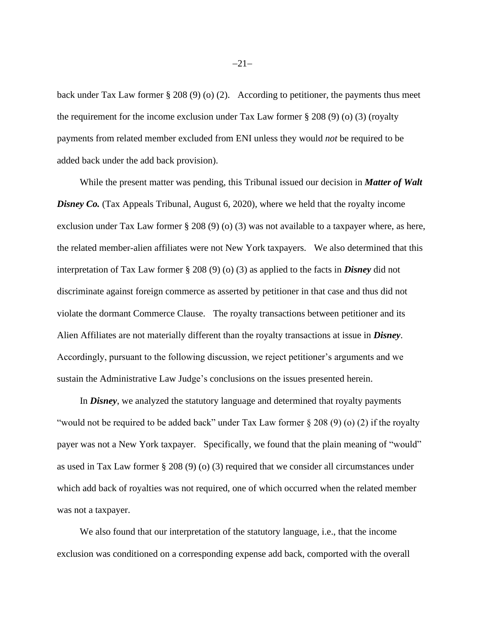back under Tax Law former § 208 (9) (o) (2). According to petitioner, the payments thus meet the requirement for the income exclusion under Tax Law former  $\S 208 (9) (0) (3)$  (royalty payments from related member excluded from ENI unless they would *not* be required to be added back under the add back provision).

 While the present matter was pending, this Tribunal issued our decision in *Matter of Walt*  **Disney Co.** (Tax Appeals Tribunal, August 6, 2020), where we held that the royalty income exclusion under Tax Law former § 208 (9) (o) (3) was not available to a taxpayer where, as here, the related member-alien affiliates were not New York taxpayers. We also determined that this interpretation of Tax Law former § 208 (9) (o) (3) as applied to the facts in *Disney* did not discriminate against foreign commerce as asserted by petitioner in that case and thus did not violate the dormant Commerce Clause. The royalty transactions between petitioner and its Alien Affiliates are not materially different than the royalty transactions at issue in *Disney*. Accordingly, pursuant to the following discussion, we reject petitioner's arguments and we sustain the Administrative Law Judge's conclusions on the issues presented herein.

 In *Disney*, we analyzed the statutory language and determined that royalty payments "would not be required to be added back" under Tax Law former § 208 (9) (o) (2) if the royalty payer was not a New York taxpayer. Specifically, we found that the plain meaning of "would" as used in Tax Law former § 208 (9) (o) (3) required that we consider all circumstances under which add back of royalties was not required, one of which occurred when the related member was not a taxpayer.

 We also found that our interpretation of the statutory language, i.e., that the income exclusion was conditioned on a corresponding expense add back, comported with the overall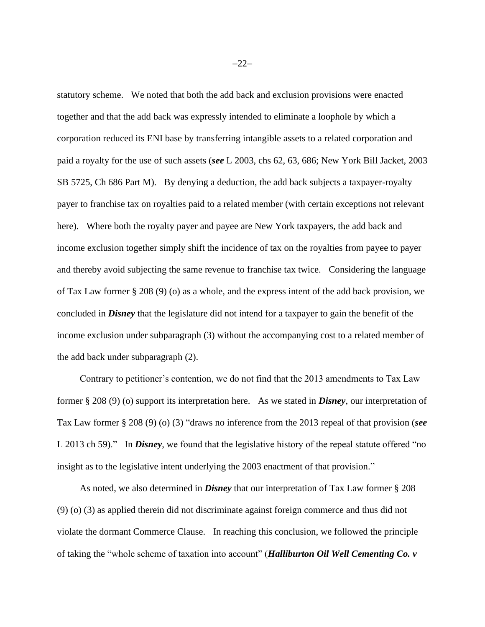statutory scheme. We noted that both the add back and exclusion provisions were enacted together and that the add back was expressly intended to eliminate a loophole by which a corporation reduced its ENI base by transferring intangible assets to a related corporation and paid a royalty for the use of such assets (*see* L 2003, chs 62, 63, 686; New York Bill Jacket, 2003 SB 5725, Ch 686 Part M). By denying a deduction, the add back subjects a taxpayer-royalty payer to franchise tax on royalties paid to a related member (with certain exceptions not relevant here). Where both the royalty payer and payee are New York taxpayers, the add back and income exclusion together simply shift the incidence of tax on the royalties from payee to payer and thereby avoid subjecting the same revenue to franchise tax twice. Considering the language of Tax Law former § 208 (9) (o) as a whole, and the express intent of the add back provision, we concluded in *Disney* that the legislature did not intend for a taxpayer to gain the benefit of the income exclusion under subparagraph (3) without the accompanying cost to a related member of the add back under subparagraph (2).

 Contrary to petitioner's contention, we do not find that the 2013 amendments to Tax Law former § 208 (9) (o) support its interpretation here. As we stated in *Disney*, our interpretation of Tax Law former § 208 (9) (o) (3) "draws no inference from the 2013 repeal of that provision (*see* L 2013 ch 59)." In *Disney*, we found that the legislative history of the repeal statute offered "no insight as to the legislative intent underlying the 2003 enactment of that provision."

 As noted, we also determined in *Disney* that our interpretation of Tax Law former § 208 (9) (o) (3) as applied therein did not discriminate against foreign commerce and thus did not violate the dormant Commerce Clause. In reaching this conclusion, we followed the principle of taking the "whole scheme of taxation into account" (*Halliburton Oil Well Cementing Co. v*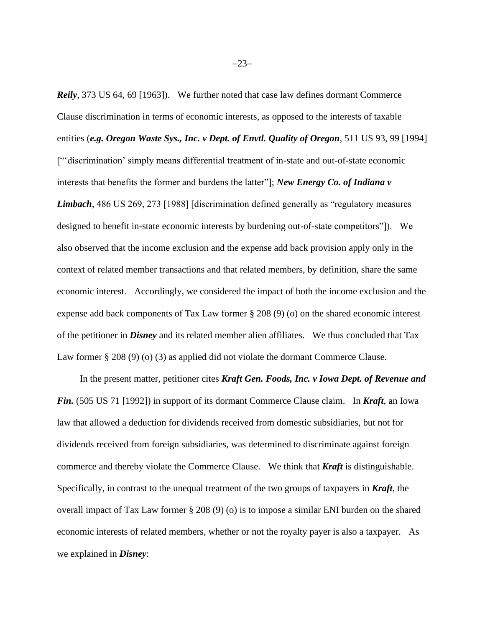*Reily*, 373 US 64, 69 [1963]). We further noted that case law defines dormant Commerce Clause discrimination in terms of economic interests, as opposed to the interests of taxable entities (*e.g. Oregon Waste Sys., Inc. v Dept. of Envtl. Quality of Oregon*, 511 US 93, 99 [1994] ["'discrimination' simply means differential treatment of in-state and out-of-state economic interests that benefits the former and burdens the latter"]; *New Energy Co. of Indiana v Limbach*, 486 US 269, 273 [1988] [discrimination defined generally as "regulatory measures designed to benefit in-state economic interests by burdening out-of-state competitors"]). We also observed that the income exclusion and the expense add back provision apply only in the context of related member transactions and that related members, by definition, share the same economic interest. Accordingly, we considered the impact of both the income exclusion and the expense add back components of Tax Law former § 208 (9) (o) on the shared economic interest of the petitioner in *Disney* and its related member alien affiliates. We thus concluded that Tax Law former § 208 (9) (o) (3) as applied did not violate the dormant Commerce Clause.

 In the present matter, petitioner cites *Kraft Gen. Foods, Inc. v Iowa Dept. of Revenue and Fin.* (505 US 71 [1992]) in support of its dormant Commerce Clause claim. In *Kraft*, an Iowa law that allowed a deduction for dividends received from domestic subsidiaries, but not for dividends received from foreign subsidiaries, was determined to discriminate against foreign commerce and thereby violate the Commerce Clause. We think that *Kraft* is distinguishable. Specifically, in contrast to the unequal treatment of the two groups of taxpayers in *Kraft*, the overall impact of Tax Law former § 208 (9) (o) is to impose a similar ENI burden on the shared economic interests of related members, whether or not the royalty payer is also a taxpayer. As we explained in *Disney*: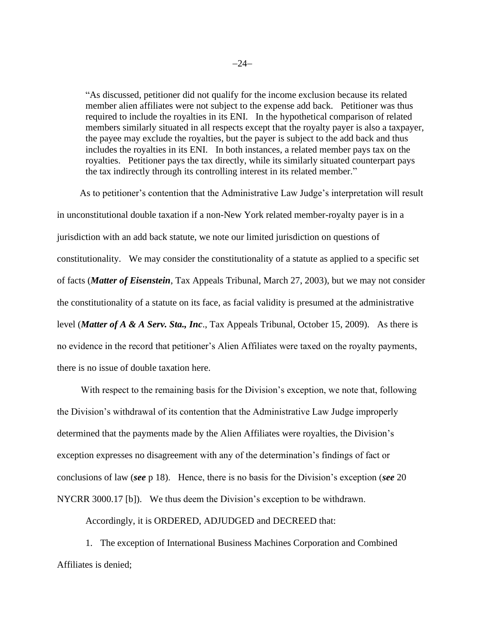"As discussed, petitioner did not qualify for the income exclusion because its related member alien affiliates were not subject to the expense add back. Petitioner was thus required to include the royalties in its ENI. In the hypothetical comparison of related members similarly situated in all respects except that the royalty payer is also a taxpayer, the payee may exclude the royalties, but the payer is subject to the add back and thus includes the royalties in its ENI. In both instances, a related member pays tax on the royalties. Petitioner pays the tax directly, while its similarly situated counterpart pays the tax indirectly through its controlling interest in its related member."

 As to petitioner's contention that the Administrative Law Judge's interpretation will result in unconstitutional double taxation if a non-New York related member-royalty payer is in a jurisdiction with an add back statute, we note our limited jurisdiction on questions of constitutionality. We may consider the constitutionality of a statute as applied to a specific set of facts (*Matter of Eisenstein*, Tax Appeals Tribunal, March 27, 2003), but we may not consider the constitutionality of a statute on its face, as facial validity is presumed at the administrative level (*Matter of A & A Serv. Sta., Inc*., Tax Appeals Tribunal, October 15, 2009). As there is no evidence in the record that petitioner's Alien Affiliates were taxed on the royalty payments, there is no issue of double taxation here.

With respect to the remaining basis for the Division's exception, we note that, following the Division's withdrawal of its contention that the Administrative Law Judge improperly determined that the payments made by the Alien Affiliates were royalties, the Division's exception expresses no disagreement with any of the determination's findings of fact or conclusions of law (*see* p 18). Hence, there is no basis for the Division's exception (*see* 20 NYCRR 3000.17 [b]). We thus deem the Division's exception to be withdrawn.

Accordingly, it is ORDERED, ADJUDGED and DECREED that:

1. The exception of International Business Machines Corporation and Combined Affiliates is denied;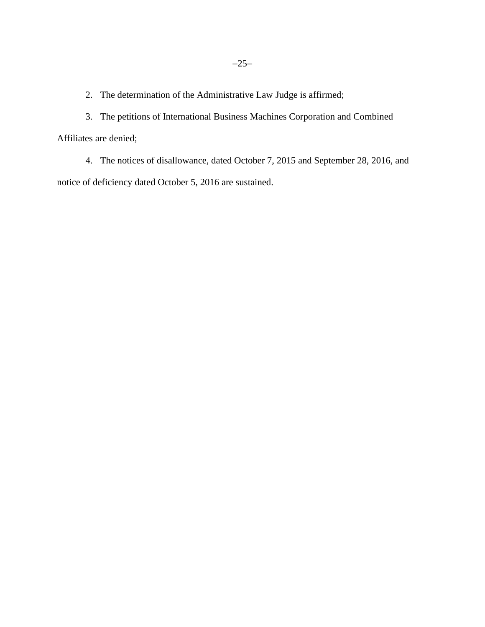2. The determination of the Administrative Law Judge is affirmed;

3. The petitions of International Business Machines Corporation and Combined Affiliates are denied;

4. The notices of disallowance, dated October 7, 2015 and September 28, 2016, and notice of deficiency dated October 5, 2016 are sustained.